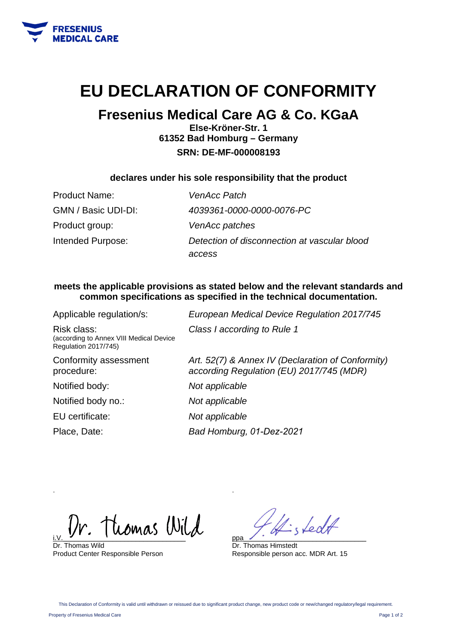

# **EU DECLARATION OF CONFORMITY**

## **Fresenius Medical Care AG & Co. KGaA**

**Else-Kröner-Str. 1 61352 Bad Homburg – Germany SRN: DE-MF-000008193** 

### **declares under his sole responsibility that the product**

| Product Name:       | <b>VenAcc Patch</b>                                    |
|---------------------|--------------------------------------------------------|
| GMN / Basic UDI-DI: | 4039361-0000-0000-0076-PC                              |
| Product group:      | VenAcc patches                                         |
| Intended Purpose:   | Detection of disconnection at vascular blood<br>access |
|                     |                                                        |

### **meets the applicable provisions as stated below and the relevant standards and common specifications as specified in the technical documentation.**

| Applicable regulation/s:                                                              | European Medical Device Regulation 2017/745                                                   |
|---------------------------------------------------------------------------------------|-----------------------------------------------------------------------------------------------|
| Risk class:<br>(according to Annex VIII Medical Device<br><b>Regulation 2017/745)</b> | Class I according to Rule 1                                                                   |
| Conformity assessment<br>procedure:                                                   | Art. 52(7) & Annex IV (Declaration of Conformity)<br>according Regulation (EU) 2017/745 (MDR) |
| Notified body:                                                                        | Not applicable                                                                                |
| Notified body no.:                                                                    | Not applicable                                                                                |
| EU certificate:                                                                       | Not applicable                                                                                |
| Place, Date:                                                                          | Bad Homburg, 01-Dez-2021                                                                      |

tiomas Wild

Dr. Thomas Wild Product Center Responsible Person

stedt ppa\_\_\_\_\_\_\_\_\_\_\_\_\_\_\_\_\_\_\_\_\_\_\_\_\_\_\_\_\_\_\_\_

Dr. Thomas Himstedt Responsible person acc. MDR Art. 15

.

.